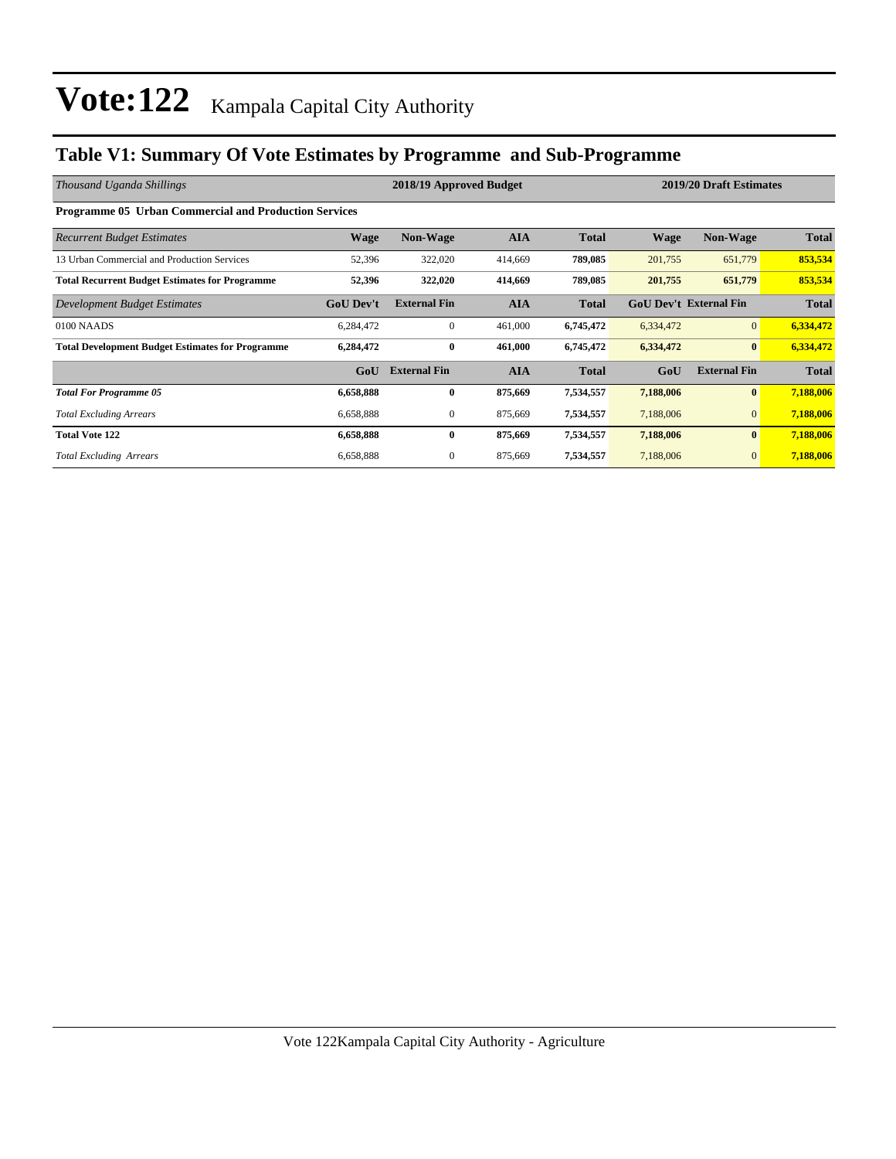### **Table V1: Summary Of Vote Estimates by Programme and Sub-Programme**

| Thousand Uganda Shillings                                    | 2018/19 Approved Budget |                     |            |              | 2019/20 Draft Estimates |                               |              |  |  |  |
|--------------------------------------------------------------|-------------------------|---------------------|------------|--------------|-------------------------|-------------------------------|--------------|--|--|--|
| <b>Programme 05 Urban Commercial and Production Services</b> |                         |                     |            |              |                         |                               |              |  |  |  |
| <b>Recurrent Budget Estimates</b>                            | Wage                    | <b>Non-Wage</b>     | <b>AIA</b> | <b>Total</b> | <b>Wage</b>             | <b>Non-Wage</b>               | <b>Total</b> |  |  |  |
| 13 Urban Commercial and Production Services                  | 52,396                  | 322,020             | 414,669    | 789,085      | 201,755                 | 651,779                       | 853,534      |  |  |  |
| <b>Total Recurrent Budget Estimates for Programme</b>        | 52,396                  | 322,020             | 414,669    | 789,085      | 201,755                 | 651,779                       | 853,534      |  |  |  |
| Development Budget Estimates                                 | <b>GoU</b> Dev't        | <b>External Fin</b> | <b>AIA</b> | <b>Total</b> |                         | <b>GoU Dev't External Fin</b> | <b>Total</b> |  |  |  |
| 0100 NAADS                                                   | 6,284,472               | $\mathbf{0}$        | 461,000    | 6,745,472    | 6,334,472               | $\overline{0}$                | 6,334,472    |  |  |  |
| <b>Total Development Budget Estimates for Programme</b>      | 6,284,472               | $\bf{0}$            | 461,000    | 6,745,472    | 6,334,472               | $\bf{0}$                      | 6,334,472    |  |  |  |
|                                                              | GoU                     | <b>External Fin</b> | <b>AIA</b> | <b>Total</b> | GoU                     | <b>External Fin</b>           | <b>Total</b> |  |  |  |
| <b>Total For Programme 05</b>                                | 6,658,888               | $\bf{0}$            | 875,669    | 7,534,557    | 7,188,006               | $\bf{0}$                      | 7,188,006    |  |  |  |
| <b>Total Excluding Arrears</b>                               | 6,658,888               | $\mathbf{0}$        | 875,669    | 7,534,557    | 7,188,006               | $\mathbf{0}$                  | 7,188,006    |  |  |  |
| <b>Total Vote 122</b>                                        | 6,658,888               | $\bf{0}$            | 875,669    | 7,534,557    | 7,188,006               | $\bf{0}$                      | 7,188,006    |  |  |  |
| <b>Total Excluding Arrears</b>                               | 6,658,888               | $\mathbf{0}$        | 875,669    | 7,534,557    | 7,188,006               | $\mathbf{0}$                  | 7,188,006    |  |  |  |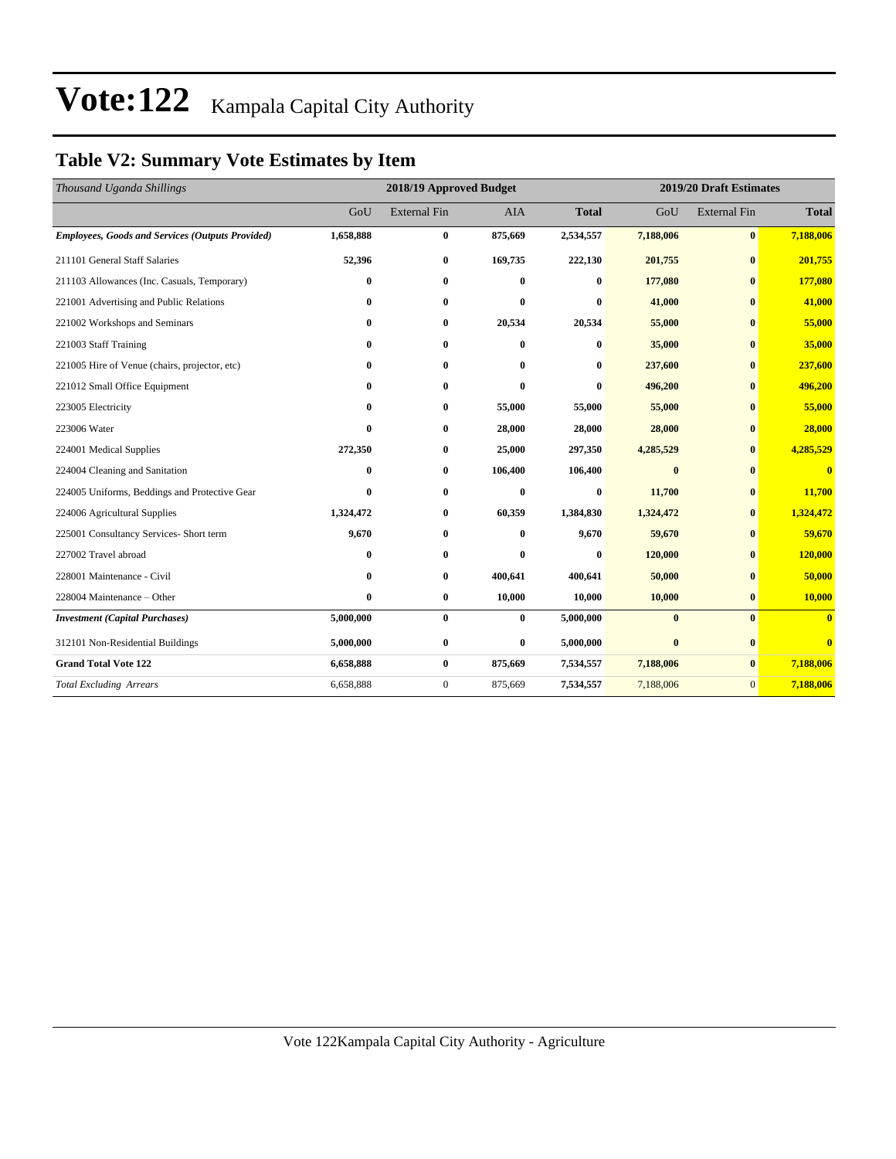### **Table V2: Summary Vote Estimates by Item**

| Thousand Uganda Shillings                               |           | 2018/19 Approved Budget |            |              |           | 2019/20 Draft Estimates |                         |  |
|---------------------------------------------------------|-----------|-------------------------|------------|--------------|-----------|-------------------------|-------------------------|--|
|                                                         | GoU       | <b>External Fin</b>     | <b>AIA</b> | <b>Total</b> | GoU       | <b>External Fin</b>     | <b>Total</b>            |  |
| <b>Employees, Goods and Services (Outputs Provided)</b> | 1,658,888 | $\bf{0}$                | 875,669    | 2,534,557    | 7,188,006 | $\bf{0}$                | 7,188,006               |  |
| 211101 General Staff Salaries                           | 52,396    | $\bf{0}$                | 169,735    | 222,130      | 201,755   | $\bf{0}$                | 201,755                 |  |
| 211103 Allowances (Inc. Casuals, Temporary)             | $\bf{0}$  | $\bf{0}$                | $\bf{0}$   | $\bf{0}$     | 177,080   | $\mathbf{0}$            | 177,080                 |  |
| 221001 Advertising and Public Relations                 | $\bf{0}$  | $\bf{0}$                | 0          | $\bf{0}$     | 41,000    | $\mathbf{0}$            | 41,000                  |  |
| 221002 Workshops and Seminars                           | $\bf{0}$  | $\bf{0}$                | 20,534     | 20,534       | 55,000    | $\mathbf{0}$            | 55,000                  |  |
| 221003 Staff Training                                   | $\bf{0}$  | $\bf{0}$                | 0          | $\bf{0}$     | 35,000    | $\bf{0}$                | 35,000                  |  |
| 221005 Hire of Venue (chairs, projector, etc)           | $\bf{0}$  | $\bf{0}$                | 0          | 0            | 237,600   | $\mathbf{0}$            | 237,600                 |  |
| 221012 Small Office Equipment                           | 0         | $\mathbf{0}$            | $\bf{0}$   | $\bf{0}$     | 496,200   | $\mathbf{0}$            | 496,200                 |  |
| 223005 Electricity                                      | $\bf{0}$  | $\bf{0}$                | 55,000     | 55,000       | 55,000    | $\mathbf{0}$            | 55,000                  |  |
| 223006 Water                                            | $\bf{0}$  | $\bf{0}$                | 28,000     | 28,000       | 28,000    | $\bf{0}$                | 28,000                  |  |
| 224001 Medical Supplies                                 | 272,350   | $\bf{0}$                | 25,000     | 297,350      | 4,285,529 | $\mathbf{0}$            | 4,285,529               |  |
| 224004 Cleaning and Sanitation                          | $\bf{0}$  | $\bf{0}$                | 106,400    | 106,400      | $\bf{0}$  | $\mathbf{0}$            | $\bf{0}$                |  |
| 224005 Uniforms, Beddings and Protective Gear           | $\bf{0}$  | $\bf{0}$                | $\bf{0}$   | $\bf{0}$     | 11,700    | $\mathbf{0}$            | 11,700                  |  |
| 224006 Agricultural Supplies                            | 1,324,472 | $\bf{0}$                | 60,359     | 1,384,830    | 1,324,472 | $\mathbf{0}$            | 1,324,472               |  |
| 225001 Consultancy Services- Short term                 | 9,670     | $\bf{0}$                | 0          | 9,670        | 59,670    | $\mathbf{0}$            | 59,670                  |  |
| 227002 Travel abroad                                    | $\bf{0}$  | $\bf{0}$                | 0          | $\bf{0}$     | 120,000   | $\mathbf{0}$            | 120,000                 |  |
| 228001 Maintenance - Civil                              | $\bf{0}$  | $\bf{0}$                | 400,641    | 400,641      | 50,000    | $\mathbf{0}$            | 50,000                  |  |
| 228004 Maintenance - Other                              | $\bf{0}$  | $\bf{0}$                | 10,000     | 10,000       | 10,000    | $\bf{0}$                | 10,000                  |  |
| <b>Investment</b> (Capital Purchases)                   | 5,000,000 | $\bf{0}$                | $\bf{0}$   | 5,000,000    | $\bf{0}$  | $\mathbf{0}$            | $\mathbf{0}$            |  |
| 312101 Non-Residential Buildings                        | 5,000,000 | $\bf{0}$                | $\bf{0}$   | 5,000,000    | $\bf{0}$  | $\bf{0}$                | $\overline{\mathbf{0}}$ |  |
| <b>Grand Total Vote 122</b>                             | 6,658,888 | $\bf{0}$                | 875,669    | 7,534,557    | 7,188,006 | $\bf{0}$                | 7,188,006               |  |
| <b>Total Excluding Arrears</b>                          | 6,658,888 | $\mathbf{0}$            | 875,669    | 7,534,557    | 7,188,006 | $\overline{0}$          | 7,188,006               |  |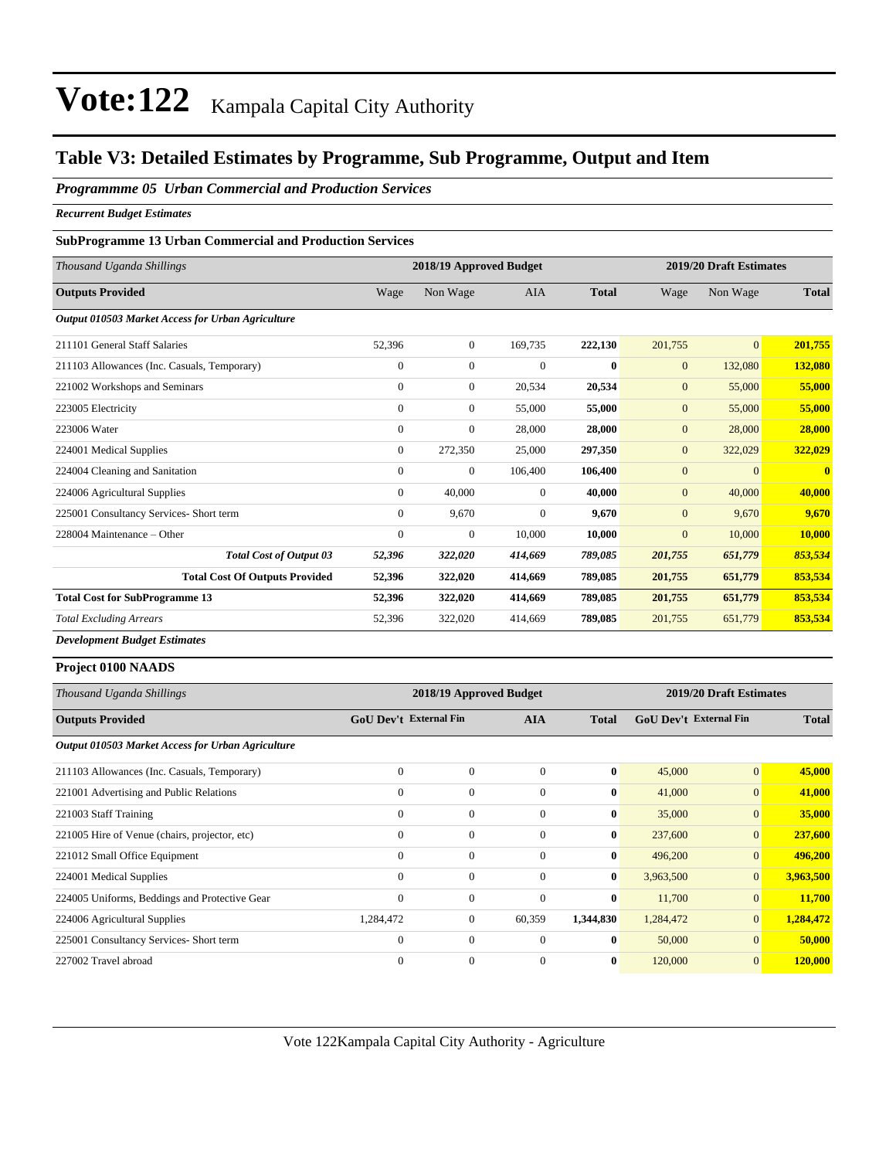### **Table V3: Detailed Estimates by Programme, Sub Programme, Output and Item**

#### *Programmme 05 Urban Commercial and Production Services*

*Recurrent Budget Estimates*

#### **SubProgramme 13 Urban Commercial and Production Services**

| Thousand Uganda Shillings                         | 2018/19 Approved Budget |                  |              |              | 2019/20 Draft Estimates |                |                         |
|---------------------------------------------------|-------------------------|------------------|--------------|--------------|-------------------------|----------------|-------------------------|
| <b>Outputs Provided</b>                           | Wage                    | Non Wage         | <b>AIA</b>   | <b>Total</b> | Wage                    | Non Wage       | <b>Total</b>            |
| Output 010503 Market Access for Urban Agriculture |                         |                  |              |              |                         |                |                         |
| 211101 General Staff Salaries                     | 52,396                  | $\boldsymbol{0}$ | 169,735      | 222,130      | 201,755                 | $\overline{0}$ | 201,755                 |
| 211103 Allowances (Inc. Casuals, Temporary)       | $\mathbf{0}$            | $\overline{0}$   | $\Omega$     | $\bf{0}$     | $\mathbf{0}$            | 132,080        | 132,080                 |
| 221002 Workshops and Seminars                     | $\Omega$                | $\overline{0}$   | 20,534       | 20,534       | $\mathbf{0}$            | 55,000         | 55,000                  |
| 223005 Electricity                                | $\Omega$                | $\overline{0}$   | 55,000       | 55,000       | $\mathbf{0}$            | 55,000         | 55,000                  |
| 223006 Water                                      | $\Omega$                | $\overline{0}$   | 28,000       | 28,000       | $\mathbf{0}$            | 28,000         | 28,000                  |
| 224001 Medical Supplies                           | $\mathbf{0}$            | 272,350          | 25,000       | 297,350      | $\mathbf{0}$            | 322,029        | 322,029                 |
| 224004 Cleaning and Sanitation                    | $\Omega$                | $\mathbf{0}$     | 106,400      | 106,400      | $\overline{0}$          | $\mathbf{0}$   | $\overline{\mathbf{0}}$ |
| 224006 Agricultural Supplies                      | $\mathbf{0}$            | 40,000           | $\mathbf{0}$ | 40,000       | $\overline{0}$          | 40,000         | 40,000                  |
| 225001 Consultancy Services- Short term           | $\overline{0}$          | 9,670            | $\Omega$     | 9.670        | $\mathbf{0}$            | 9.670          | 9,670                   |
| 228004 Maintenance – Other                        | $\Omega$                | $\mathbf{0}$     | 10,000       | 10,000       | $\mathbf{0}$            | 10,000         | 10,000                  |
| <b>Total Cost of Output 03</b>                    | 52,396                  | 322,020          | 414,669      | 789,085      | 201,755                 | 651,779        | 853,534                 |
| <b>Total Cost Of Outputs Provided</b>             | 52,396                  | 322,020          | 414,669      | 789,085      | 201,755                 | 651,779        | 853,534                 |
| <b>Total Cost for SubProgramme 13</b>             | 52,396                  | 322,020          | 414,669      | 789,085      | 201,755                 | 651,779        | 853,534                 |
| <b>Total Excluding Arrears</b>                    | 52,396                  | 322,020          | 414,669      | 789,085      | 201,755                 | 651,779        | 853,534                 |

*Development Budget Estimates*

#### **Project 0100 NAADS**

| Thousand Uganda Shillings                         | 2018/19 Approved Budget       | 2019/20 Draft Estimates |                |              |                               |                 |              |
|---------------------------------------------------|-------------------------------|-------------------------|----------------|--------------|-------------------------------|-----------------|--------------|
| <b>Outputs Provided</b>                           | <b>GoU Dev't External Fin</b> |                         | <b>AIA</b>     | <b>Total</b> | <b>GoU Dev't External Fin</b> |                 | <b>Total</b> |
| Output 010503 Market Access for Urban Agriculture |                               |                         |                |              |                               |                 |              |
| 211103 Allowances (Inc. Casuals, Temporary)       | $\mathbf{0}$                  | $\overline{0}$          | $\overline{0}$ | $\bf{0}$     | 45,000                        | $\vert 0 \vert$ | 45,000       |
| 221001 Advertising and Public Relations           | $\mathbf{0}$                  | $\mathbf{0}$            | $\theta$       | $\bf{0}$     | 41,000                        | $\vert 0 \vert$ | 41,000       |
| 221003 Staff Training                             | $\mathbf{0}$                  | $\Omega$                | $\Omega$       | $\bf{0}$     | 35,000                        | $\vert 0 \vert$ | 35,000       |
| 221005 Hire of Venue (chairs, projector, etc)     | $\theta$                      | $\mathbf{0}$            | $\theta$       | $\bf{0}$     | 237,600                       | $\vert 0 \vert$ | 237,600      |
| 221012 Small Office Equipment                     | $\mathbf{0}$                  | $\boldsymbol{0}$        | $\overline{0}$ | $\bf{0}$     | 496,200                       | $\vert 0 \vert$ | 496,200      |
| 224001 Medical Supplies                           | $\mathbf{0}$                  | $\mathbf{0}$            | $\overline{0}$ | $\bf{0}$     | 3,963,500                     | $\vert 0 \vert$ | 3,963,500    |
| 224005 Uniforms, Beddings and Protective Gear     | $\theta$                      | $\overline{0}$          | $\overline{0}$ | $\bf{0}$     | 11,700                        | $\vert 0 \vert$ | 11,700       |
| 224006 Agricultural Supplies                      | 1,284,472                     | $\overline{0}$          | 60,359         | 1,344,830    | 1,284,472                     | $\vert 0 \vert$ | 1,284,472    |
| 225001 Consultancy Services- Short term           | $\theta$                      | $\boldsymbol{0}$        | $\theta$       | $\bf{0}$     | 50,000                        | $\vert 0 \vert$ | 50,000       |
| 227002 Travel abroad                              | $\mathbf{0}$                  | $\Omega$                | $\Omega$       | $\bf{0}$     | 120,000                       | $\vert 0 \vert$ | 120,000      |